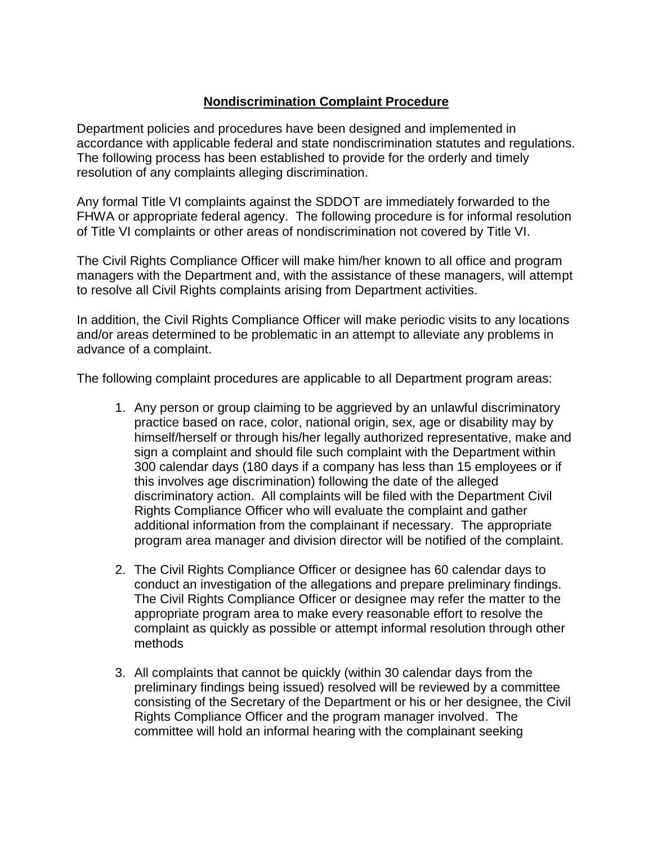## **Nondiscrimination Complaint Procedure**

Department policies and procedures have been designed and implemented in accordance with applicable federal and state nondiscrimination statutes and regulations. The following process has been established to provide for the orderly and timely resolution of any complaints alleging discrimination.

Any formal Title VI complaints against the SDDOT are immediately forwarded to the FHWA or appropriate federal agency. The following procedure is for informal resolution of Title VI complaints or other areas of nondiscrimination not covered by Title VI.

The Civil Rights Compliance Officer will make him/her known to all office and program managers with the Department and, with the assistance of these managers, will attempt to resolve all Civil Rights complaints arising from Department activities.

In addition, the Civil Rights Compliance Officer will make periodic visits to any locations and/or areas determined to be problematic in an attempt to alleviate any problems in advance of a complaint.

The following complaint procedures are applicable to all Department program areas:

- 1. Any person or group claiming to be aggrieved by an unlawful discriminatory practice based on race, color, national origin, sex, age or disability may by himself/herself or through his/her legally authorized representative, make and sign a complaint and should file such complaint with the Department within 300 calendar days (180 days if a company has less than 15 employees or if this involves age discrimination) following the date of the alleged discriminatory action. All complaints will be filed with the Department Civil Rights Compliance Officer who will evaluate the complaint and gather additional information from the complainant if necessary. The appropriate program area manager and division director will be notified of the complaint.
- 2. The Civil Rights Compliance Officer or designee has 60 calendar days to conduct an investigation of the allegations and prepare preliminary findings. The Civil Rights Compliance Officer or designee may refer the matter to the appropriate program area to make every reasonable effort to resolve the complaint as quickly as possible or attempt informal resolution through other methods
- 3. All complaints that cannot be quickly (within 30 calendar days from the preliminary findings being issued) resolved will be reviewed by a committee consisting of the Secretary of the Department or his or her designee, the Civil Rights Compliance Officer and the program manager involved. The committee will hold an informal hearing with the complainant seeking